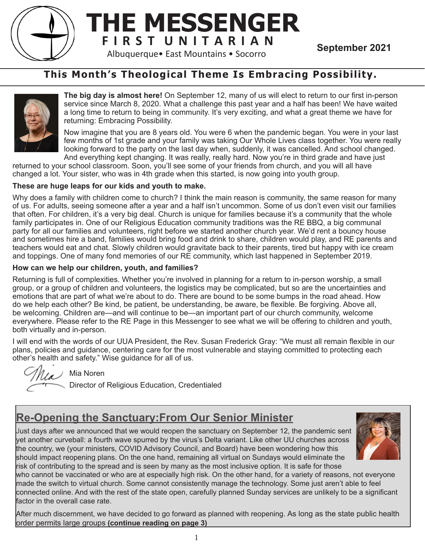

# **THE MESSENGER F I R S T U N I T A R I A N**<br>Albuquerque• East Mountains • Socorro<br>**September 2021**

**This Month's Theological Theme Is Embracing Possibility.**



**The big day is almost here!** On September 12, many of us will elect to return to our first in-person service since March 8, 2020. What a challenge this past year and a half has been! We have waited a long time to return to being in community. It's very exciting, and what a great theme we have for returning: Embracing Possibility.

Now imagine that you are 8 years old. You were 6 when the pandemic began. You were in your last few months of 1st grade and your family was taking Our Whole Lives class together. You were really looking forward to the party on the last day when, suddenly, it was cancelled. And school changed. And everything kept changing. It was really, really hard. Now you're in third grade and have just

returned to your school classroom. Soon, you'll see some of your friends from church, and you will all have changed a lot. Your sister, who was in 4th grade when this started, is now going into youth group.

### **These are huge leaps for our kids and youth to make.**

Why does a family with children come to church? I think the main reason is community, the same reason for many of us. For adults, seeing someone after a year and a half isn't uncommon. Some of us don't even visit our families that often. For children, it's a very big deal. Church is unique for families because it's a community that the whole family participates in. One of our Religious Education community traditions was the RE BBQ, a big communal party for all our families and volunteers, right before we started another church year. We'd rent a bouncy house and sometimes hire a band, families would bring food and drink to share, children would play, and RE parents and teachers would eat and chat. Slowly children would gravitate back to their parents, tired but happy with ice cream and toppings. One of many fond memories of our RE community, which last happened in September 2019.

### **How can we help our children, youth, and families?**

Returning is full of complexities. Whether you're involved in planning for a return to in-person worship, a small group, or a group of children and volunteers, the logistics may be complicated, but so are the uncertainties and emotions that are part of what we're about to do. There are bound to be some bumps in the road ahead. How do we help each other? Be kind, be patient, be understanding, be aware, be flexible. Be forgiving. Above all, be welcoming. Children are—and will continue to be—an important part of our church community, welcome everywhere. Please refer to the RE Page in this Messenger to see what we will be offering to children and youth, both virtually and in-person.

I will end with the words of our UUA President, the Rev. Susan Frederick Gray: "We must all remain flexible in our plans, policies and guidance, centering care for the most vulnerable and staying committed to protecting each other's health and safety." Wise guidance for all of us.

 $\mathcal{U}$  Mia Noren

Director of Religious Education, Credentialed

# **Re-Opening the Sanctuary:From Our Senior Minister**

Just days after we announced that we would reopen the sanctuary on September 12, the pandemic sent yet another curveball: a fourth wave spurred by the virus's Delta variant. Like other UU churches across the country, we (your ministers, COVID Advisory Council, and Board) have been wondering how this should impact reopening plans. On the one hand, remaining all virtual on Sundays would eliminate the risk of contributing to the spread and is seen by many as the most inclusive option. It is safe for those



who cannot be vaccinated or who are at especially high risk. On the other hand, for a variety of reasons, not everyone made the switch to virtual church. Some cannot consistently manage the technology. Some just aren't able to feel connected online. And with the rest of the state open, carefully planned Sunday services are unlikely to be a significant factor in the overall case rate.

After much discernment, we have decided to go forward as planned with reopening. As long as the state public health order permits large groups **(continue reading on page 3)**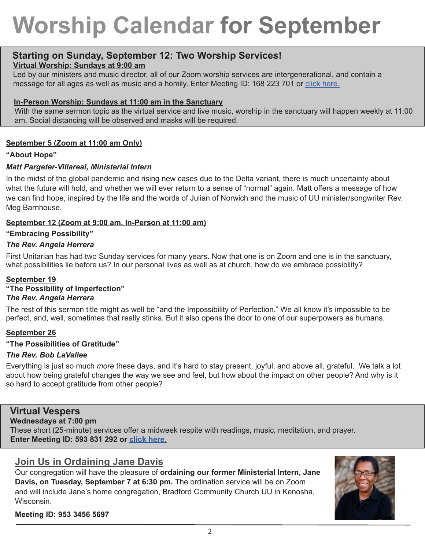# **Worship Calendar for September**

# **Starting on Sunday, September 12: Two Worship Services!**

## **Virtual Worship: Sundays at 9:00 am**

Led by our ministers and music director, all of our Zoom worship services are intergenerational, and contain a message for all ages as well as music and a homily. Enter Meeting ID: 168 223 701 or click here.

### **In-Person Worship: Sundays at 11:00 am in the Sanctuary**

With the same sermon topic as the virtual service and live music, worship in the sanctuary will happen weekly at 11:00 am. Social distancing will be observed and masks will be required.

# **September 5 (Zoom at 11:00 am Only)**

### **"About Hope"**

### *Matt Pargeter-Villareal, Ministerial Intern*

In the midst of the global pandemic and rising new cases due to the Delta variant, there is much uncertainty about what the future will hold, and whether we will ever return to a sense of "normal" again. Matt offers a message of how we can find hope, inspired by the life and the words of Julian of Norwich and the music of UU minister/songwriter Rev. Meg Barnhouse.

### **September 12 (Zoom at 9:00 am, In-Person at 11:00 am)**

### **"Embracing Possibility"**

# *The Rev. Angela Herrera*

First Unitarian has had two Sunday services for many years. Now that one is on Zoom and one is in the sanctuary, what possibilities lie before us? In our personal lives as well as at church, how do we embrace possibility?

### **September 19**

#### **"The Possibility of Imperfection"** *The Rev. Angela Herrera*

The rest of this sermon title might as well be "and the Impossibility of Perfection." We all know it's impossible to be perfect, and, well, sometimes that really stinks. But it also opens the door to one of our superpowers as humans.

### **September 26**

### **"The Possibilities of Gratitude"**

### *The Rev. Bob LaVallee*

Everything is just so much *more* these days, and it's hard to stay present, joyful, and above all, grateful. We talk a lot about how being grateful changes the way we see and feel, but how about the impact on other people? And why is it so hard to accept gratitude from other people?

# **Virtual Vespers**

### **Wednesdays at 7:00 pm**

These short (25-minute) services offer a midweek respite with readings, music, meditation, and prayer. **Enter Meeting ID: 593 831 292 or click here.**

# **Join Us in Ordaining Jane Davis**

Our congregation will have the pleasure of **ordaining our former Ministerial Intern, Jane Davis, on Tuesday, September 7 at 6:30 pm.** The ordination service will be on Zoom and will include Jane's home congregation, Bradford Community Church UU in Kenosha, Wisconsin.



**Meeting ID: 953 3456 5697**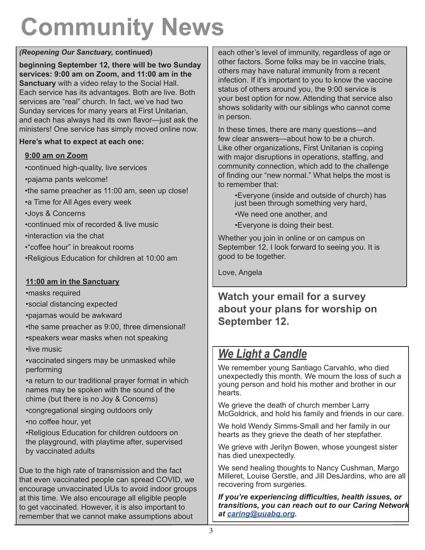# **Community News**

# *(Reopening Our Sanctuary,* **continued)**

**beginning September 12, there will be two Sunday services: 9:00 am on Zoom, and 11:00 am in the Sanctuary** with a video relay to the Social Hall. Each service has its advantages. Both are live. Both services are "real" church. In fact, we've had two Sunday services for many years at First Unitarian, and each has always had its own flavor—just ask the ministers! One service has simply moved online now.

# **Here's what to expect at each one:**

# **9:00 am on Zoom**

•continued high-quality, live services •pajama pants welcome! •the same preacher as 11:00 am, seen up close! •a Time for All Ages every week •Joys & Concerns •continued mix of recorded & live music •interaction via the chat •"coffee hour" in breakout rooms •Religious Education for children at 10:00 am

# **11:00 am in the Sanctuary**

•masks required

•social distancing expected

•pajamas would be awkward

•the same preacher as 9:00, three dimensional!

•speakers wear masks when not speaking •live music

•vaccinated singers may be unmasked while performing

•a return to our traditional prayer format in which names may be spoken with the sound of the chime (but there is no Joy & Concerns)

•congregational singing outdoors only

•no coffee hour, yet

•Religious Education for children outdoors on the playground, with playtime after, supervised by vaccinated adults

Due to the high rate of transmission and the fact that even vaccinated people can spread COVID, we encourage unvaccinated UUs to avoid indoor groups at this time. We also encourage all eligible people to get vaccinated. However, it is also important to remember that we cannot make assumptions about

each other's level of immunity, regardless of age or other factors. Some folks may be in vaccine trials, others may have natural immunity from a recent infection. If it's important to you to know the vaccine status of others around you, the 9:00 service is your best option for now. Attending that service also shows solidarity with our siblings who cannot come in person.

In these times, there are many questions—and few clear answers—about how to be a church. Like other organizations, First Unitarian is coping with major disruptions in operations, staffing, and community connection, which add to the challenge of finding our "new normal." What helps the most is to remember that:

•Everyone (inside and outside of church) has just been through something very hard,

•We need one another, and

•Everyone is doing their best.

Whether you join in online or on campus on September 12, I look forward to seeing you. It is good to be together.

Love, Angela

# **Watch your email for a survey about your plans for worship on September 12.**

# *We Light a Candle*

We remember young Santiago Carvahlo, who died unexpectedly this month. We mourn the loss of such a young person and hold his mother and brother in our hearts.

We grieve the death of church member Larry McGoldrick, and hold his family and friends in our care.

We hold Wendy Simms-Small and her family in our hearts as they grieve the death of her stepfather.

We grieve with Jerilyn Bowen, whose youngest sister has died unexpectedly.

We send healing thoughts to Nancy Cushman, Margo Milleret, Louise Gerstle, and Jill DesJardins, who are all recovering from surgeries.

*If you're experiencing difficulties, health issues, or transitions, you can reach out to our Caring Network at caring@uuabq.org.*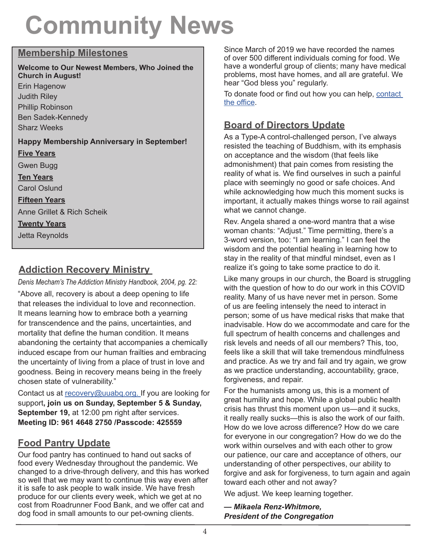# **Community News**

# **Membership Milestones**

**Welcome to Our Newest Members, Who Joined the Church in August!** Erin Hagenow Judith Riley Phillip Robinson Ben Sadek-Kennedy Sharz Weeks **Happy Membership Anniversary in September! Five Years** Gwen Bugg **Ten Years** Carol Oslund **Fifteen Years** Anne Grillet & Rich Scheik **Twenty Years** Jetta Reynolds

# **Addiction Recovery Ministry**

*Denis Mecham's The Addiction Ministry Handbook, 2004, pg. 22:* 

"Above all, recovery is about a deep opening to life that releases the individual to love and reconnection. It means learning how to embrace both a yearning for transcendence and the pains, uncertainties, and mortality that define the human condition. It means abandoning the certainty that accompanies a chemically induced escape from our human frailties and embracing the uncertainty of living from a place of trust in love and goodness. Being in recovery means being in the freely chosen state of vulnerability."

Contact us at recovery@uuabq.org. If you are looking for support**, join us on Sunday, September 5 & Sunday, September 19,** at 12:00 pm right after services. **Meeting ID: 961 4648 2750 /Passcode: 425559**

# **Food Pantry Update**

Our food pantry has continued to hand out sacks of food every Wednesday throughout the pandemic. We changed to a drive-through delivery, and this has worked so well that we may want to continue this way even after it is safe to ask people to walk inside. We have fresh produce for our clients every week, which we get at no cost from Roadrunner Food Bank, and we offer cat and dog food in small amounts to our pet-owning clients.

Since March of 2019 we have recorded the names of over 500 different individuals coming for food. We have a wonderful group of clients; many have medical problems, most have homes, and all are grateful. We hear "God bless you" regularly.

To donate food or find out how you can help, contact the office.

# **Board of Directors Update**

As a Type-A control-challenged person, I've always resisted the teaching of Buddhism, with its emphasis on acceptance and the wisdom (that feels like admonishment) that pain comes from resisting the reality of what is. We find ourselves in such a painful place with seemingly no good or safe choices. And while acknowledging how much this moment sucks is important, it actually makes things worse to rail against what we cannot change.

Rev. Angela shared a one-word mantra that a wise woman chants: "Adjust." Time permitting, there's a 3-word version, too: "I am learning." I can feel the wisdom and the potential healing in learning how to stay in the reality of that mindful mindset, even as I realize it's going to take some practice to do it.

Like many groups in our church, the Board is struggling with the question of how to do our work in this COVID reality. Many of us have never met in person. Some of us are feeling intensely the need to interact in person; some of us have medical risks that make that inadvisable. How do we accommodate and care for the full spectrum of health concerns and challenges and risk levels and needs of all our members? This, too, feels like a skill that will take tremendous mindfulness and practice. As we try and fail and try again, we grow as we practice understanding, accountability, grace, forgiveness, and repair.

For the humanists among us, this is a moment of great humility and hope. While a global public health crisis has thrust this moment upon us—and it sucks, it really really sucks—this is also the work of our faith. How do we love across difference? How do we care for everyone in our congregation? How do we do the work within ourselves and with each other to grow our patience, our care and acceptance of others, our understanding of other perspectives, our ability to forgive and ask for forgiveness, to turn again and again toward each other and not away?

We adjust. We keep learning together.

*— Mikaela Renz-Whitmore, President of the Congregation*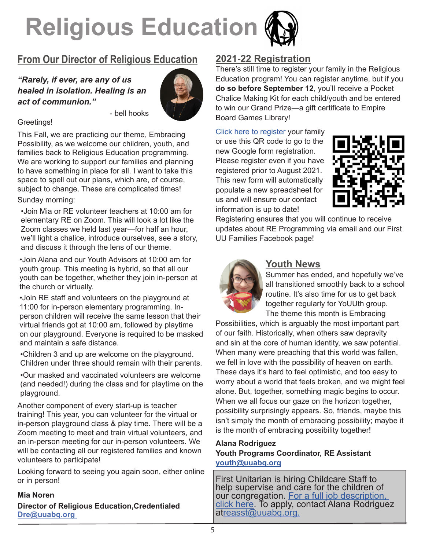

# **From Our Director of Religious Education**

- bell hooks

# *"Rarely, if ever, are any of us healed in isolation. Healing is an act of communion."*



# Greetings!

This Fall, we are practicing our theme, Embracing Possibility, as we welcome our children, youth, and families back to Religious Education programming. We are working to support our families and planning to have something in place for all. I want to take this space to spell out our plans, which are, of course, subject to change. These are complicated times! Sunday morning:

•Join Mia or RE volunteer teachers at 10:00 am for elementary RE on Zoom. This will look a lot like the Zoom classes we held last year—for half an hour, we'll light a chalice, introduce ourselves, see a story, and discuss it through the lens of our theme.

•Join Alana and our Youth Advisors at 10:00 am for youth group. This meeting is hybrid, so that all our youth can be together, whether they join in-person at the church or virtually.

•Join RE staff and volunteers on the playground at 11:00 for in-person elementary programming. Inperson children will receive the same lesson that their virtual friends got at 10:00 am, followed by playtime on our playground. Everyone is required to be masked and maintain a safe distance.

•Children 3 and up are welcome on the playground. Children under three should remain with their parents.

•Our masked and vaccinated volunteers are welcome (and needed!) during the class and for playtime on the playground.

Another component of every start-up is teacher training! This year, you can volunteer for the virtual or in-person playground class & play time. There will be a Zoom meeting to meet and train virtual volunteers, and an in-person meeting for our in-person volunteers. We will be contacting all our registered families and known volunteers to participate!

Looking forward to seeing you again soon, either online or in person!

#### **Mia Noren**

**Director of Religious Education,Credentialed Dre@uuabq.org** 

# **2021-22 Registration**

There's still time to register your family in the Religious Education program! You can register anytime, but if you **do so before September 12**, you'll receive a Pocket Chalice Making Kit for each child/youth and be entered to win our Grand Prize—a gift certificate to Empire Board Games Library!

Click here to register your family or use this QR code to go to the new Google form registration. Please register even if you have registered prior to August 2021. This new form will automatically populate a new spreadsheet for us and will ensure our contact information is up to date!



Registering ensures that you will continue to receive updates about RE Programming via email and our First UU Families Facebook page!



# **Youth News**

Summer has ended, and hopefully we've all transitioned smoothly back to a school routine. It's also time for us to get back together regularly for YoUUth group. The theme this month is Embracing

Possibilities, which is arguably the most important part of our faith. Historically, when others saw depravity and sin at the core of human identity, we saw potential. When many were preaching that this world was fallen, we fell in love with the possibility of heaven on earth. These days it's hard to feel optimistic, and too easy to worry about a world that feels broken, and we might feel alone. But, together, something magic begins to occur. When we all focus our gaze on the horizon together, possibility surprisingly appears. So, friends, maybe this isn't simply the month of embracing possibility; maybe it is the month of embracing possibility together!

# **Alana Rodriguez Youth Programs Coordinator, RE Assistant youth@uuabq.org**

First Unitarian is hiring Childcare Staff to help supervise and care for the children of<br>our congregation. For a full job description. click here. To apply, contact Alana Rodriguez atreasst@uuabq.org.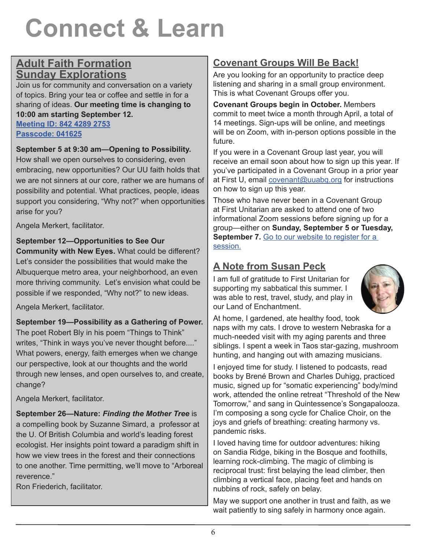# **Connect & Learn**

# **Adult Faith Formation Sunday Explorations**

Join us for community and conversation on a variety of topics. Bring your tea or coffee and settle in for a sharing of ideas. **Our meeting time is changing to 10:00 am starting September 12. Meeting ID: 842 4289 2753 Passcode: 041625**

# **September 5 at 9:30 am—Opening to Possibility.**

How shall we open ourselves to considering, even embracing, new opportunities? Our UU faith holds that we are not sinners at our core, rather we are humans of possibility and potential. What practices, people, ideas support you considering, "Why not?" when opportunities arise for you?

Angela Merkert, facilitator.

# **September 12—Opportunities to See Our**

**Community with New Eyes.** What could be different? Let's consider the possibilities that would make the Albuquerque metro area, your neighborhood, an even more thriving community. Let's envision what could be possible if we responded, "Why not?" to new ideas.

Angela Merkert, facilitator.

### **September 19—Possibility as a Gathering of Power.**

The poet Robert Bly in his poem "Things to Think" writes, "Think in ways you've never thought before...." What powers, energy, faith emerges when we change our perspective, look at our thoughts and the world through new lenses, and open ourselves to, and create, change?

Angela Merkert, facilitator.

**September 26—Nature:** *Finding the Mother Tree* is a compelling book by Suzanne Simard, a professor at the U. Of British Columbia and world's leading forest ecologist. Her insights point toward a paradigm shift in how we view trees in the forest and their connections to one another. Time permitting, we'll move to "Arboreal reverence."

Ron Friederich, facilitator.

# **Covenant Groups Will Be Back!**

Are you looking for an opportunity to practice deep listening and sharing in a small group environment. This is what Covenant Groups offer you.

**Covenant Groups begin in October.** Members commit to meet twice a month through April, a total of 14 meetings. Sign-ups will be online, and meetings will be on Zoom, with in-person options possible in the future.

If you were in a Covenant Group last year, you will receive an email soon about how to sign up this year. If you've participated in a Covenant Group in a prior year at First U, email covenant@uuabq.org for instructions on how to sign up this year.

Those who have never been in a Covenant Group at First Unitarian are asked to attend one of two informational Zoom sessions before signing up for a group—either on **Sunday, September 5 or Tuesday,**  September 7. Go to our website to register for a session.

# **A Note from Susan Peck**

I am full of gratitude to First Unitarian for supporting my sabbatical this summer. I was able to rest, travel, study, and play in our Land of Enchantment.



At home, I gardened, ate healthy food, took naps with my cats. I drove to western Nebraska for a much-needed visit with my aging parents and three siblings. I spent a week in Taos star-gazing, mushroom hunting, and hanging out with amazing musicians.

I enjoyed time for study. I listened to podcasts, read books by Brené Brown and Charles Duhigg, practiced music, signed up for "somatic experiencing" body/mind work, attended the online retreat "Threshold of the New Tomorrow," and sang in Quintessence's Songapalooza. I'm composing a song cycle for Chalice Choir, on the joys and griefs of breathing: creating harmony vs. pandemic risks.

I loved having time for outdoor adventures: hiking on Sandia Ridge, biking in the Bosque and foothills, learning rock-climbing. The magic of climbing is reciprocal trust: first belaying the lead climber, then climbing a vertical face, placing feet and hands on nubbins of rock, safely on belay.

May we support one another in trust and faith, as we wait patiently to sing safely in harmony once again.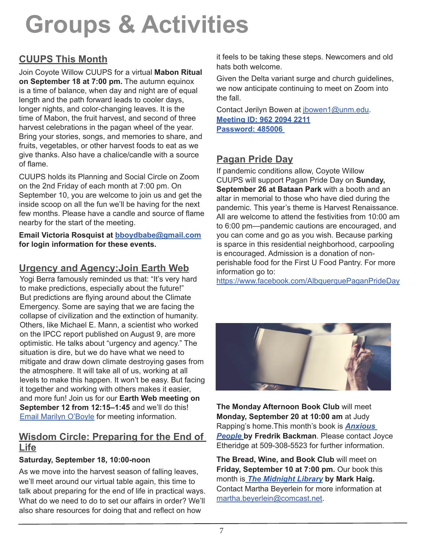# **Groups & Activities**

# **CUUPS This Month**

Join Coyote Willow CUUPS for a virtual **Mabon Ritual on September 18 at 7:00 pm.** The autumn equinox is a time of balance, when day and night are of equal length and the path forward leads to cooler days, longer nights, and color-changing leaves. It is the time of Mabon, the fruit harvest, and second of three harvest celebrations in the pagan wheel of the year. Bring your stories, songs, and memories to share, and fruits, vegetables, or other harvest foods to eat as we give thanks. Also have a chalice/candle with a source of flame.

CUUPS holds its Planning and Social Circle on Zoom on the 2nd Friday of each month at 7:00 pm. On September 10, you are welcome to join us and get the inside scoop on all the fun we'll be having for the next few months. Please have a candle and source of flame nearby for the start of the meeting.

**Email Victoria Rosquist at bboydbabe@gmail.com for login information for these events.**

# **Urgency and Agency:Join Earth Web**

Yogi Berra famously reminded us that: "It's very hard to make predictions, especially about the future!" But predictions are flying around about the Climate Emergency. Some are saying that we are facing the collapse of civilization and the extinction of humanity. Others, like Michael E. Mann, a scientist who worked on the IPCC report published on August 9, are more optimistic. He talks about "urgency and agency." The situation is dire, but we do have what we need to mitigate and draw down climate destroying gases from the atmosphere. It will take all of us, working at all levels to make this happen. It won't be easy. But facing it together and working with others makes it easier, and more fun! Join us for our **Earth Web meeting on September 12 from 12:15–1:45** and we'll do this! Email Marilyn O'Boyle for meeting information.

# **Wisdom Circle: Preparing for the End of Life**

# **Saturday, September 18, 10:00-noon**

As we move into the harvest season of falling leaves, we'll meet around our virtual table again, this time to talk about preparing for the end of life in practical ways. What do we need to do to set our affairs in order? We'll also share resources for doing that and reflect on how

it feels to be taking these steps. Newcomers and old hats both welcome.

Given the Delta variant surge and church guidelines, we now anticipate continuing to meet on Zoom into the fall.

Contact Jerilyn Bowen at jbowen1@unm.edu. **Meeting ID: 962 2094 2211 Password: 485006** 

# **Pagan Pride Day**

If pandemic conditions allow, Coyote Willow CUUPS will support Pagan Pride Day on **Sunday, September 26 at Bataan Park** with a booth and an altar in memorial to those who have died during the pandemic. This year's theme is Harvest Renaissance. All are welcome to attend the festivities from 10:00 am to 6:00 pm—pandemic cautions are encouraged, and you can come and go as you wish. Because parking is sparce in this residential neighborhood, carpooling is encouraged. Admission is a donation of nonperishable food for the First U Food Pantry. For more information go to:

https://www.facebook.com/AlbquerquePaganPrideDay



**The Monday Afternoon Book Club** will meet **Monday, September 20 at 10:00 am** at Judy Rapping's home.This month's book is *Anxious*  **People by Fredrik Backman**. Please contact Joyce Etheridge at 509-308-5523 for further information.

**The Bread, Wine, and Book Club** will meet on **Friday, September 10 at 7:00 pm.** Our book this month is *The Midnight Library* **by Mark Haig.**  Contact Martha Beyerlein for more information at martha.beyerlein@comcast.net.